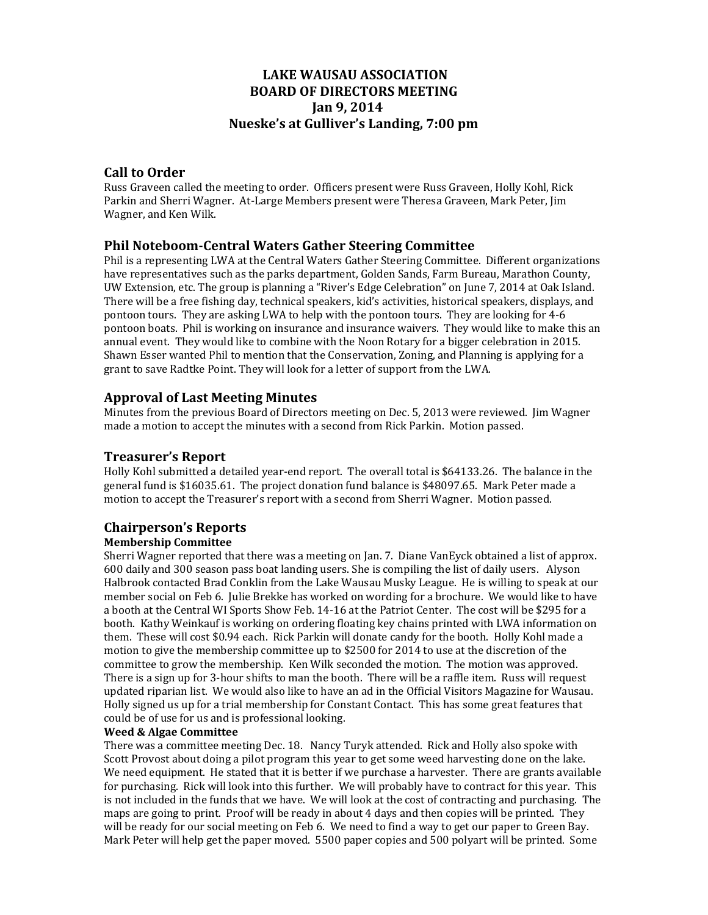# **LAKE WAUSAU ASSOCIATION BOARD OF DIRECTORS MEETING Jan 9, 2014 Nueske's at Gulliver's Landing, 7:00 pm**

# **Call to Order**

Russ Graveen called the meeting to order. Officers present were Russ Graveen, Holly Kohl, Rick Parkin and Sherri Wagner. At-Large Members present were Theresa Graveen, Mark Peter, Jim Wagner, and Ken Wilk.

# **Phil Noteboom‐Central Waters Gather Steering Committee**

Phil is a representing LWA at the Central Waters Gather Steering Committee. Different organizations have representatives such as the parks department, Golden Sands, Farm Bureau, Marathon County, UW Extension, etc. The group is planning a "River's Edge Celebration" on June 7, 2014 at Oak Island. There will be a free fishing day, technical speakers, kid's activities, historical speakers, displays, and pontoon tours. They are asking LWA to help with the pontoon tours. They are looking for 4-6 pontoon boats. Phil is working on insurance and insurance waivers. They would like to make this an annual event. They would like to combine with the Noon Rotary for a bigger celebration in 2015. Shawn Esser wanted Phil to mention that the Conservation, Zoning, and Planning is applying for a grant to save Radtke Point. They will look for a letter of support from the LWA.

# **Approval of Last Meeting Minutes**

Minutes from the previous Board of Directors meeting on Dec. 5, 2013 were reviewed. Jim Wagner made a motion to accept the minutes with a second from Rick Parkin. Motion passed.

# **Treasurer's Report**

Holly Kohl submitted a detailed year-end report. The overall total is \$64133.26. The balance in the general fund is \$16035.61. The project donation fund balance is \$48097.65. Mark Peter made a motion to accept the Treasurer's report with a second from Sherri Wagner. Motion passed.

# **Chairperson's Reports**

# **Membership Committee**

Sherri Wagner reported that there was a meeting on Jan. 7. Diane VanEyck obtained a list of approx. 600 daily and 300 season pass boat landing users. She is compiling the list of daily users. Alyson Halbrook contacted Brad Conklin from the Lake Wausau Musky League. He is willing to speak at our member social on Feb 6. Julie Brekke has worked on wording for a brochure. We would like to have a booth at the Central WI Sports Show Feb. 14-16 at the Patriot Center. The cost will be \$295 for a booth. Kathy Weinkauf is working on ordering floating key chains printed with LWA information on them. These will cost \$0.94 each. Rick Parkin will donate candy for the booth. Holly Kohl made a motion to give the membership committee up to  $$2500$  for  $2014$  to use at the discretion of the committee to grow the membership. Ken Wilk seconded the motion. The motion was approved. There is a sign up for 3-hour shifts to man the booth. There will be a raffle item. Russ will request updated riparian list. We would also like to have an ad in the Official Visitors Magazine for Wausau. Holly signed us up for a trial membership for Constant Contact. This has some great features that could be of use for us and is professional looking.

#### **Weed & Algae Committee**

There was a committee meeting Dec. 18. Nancy Turyk attended. Rick and Holly also spoke with Scott Provost about doing a pilot program this year to get some weed harvesting done on the lake. We need equipment. He stated that it is better if we purchase a harvester. There are grants available for purchasing. Rick will look into this further. We will probably have to contract for this year. This is not included in the funds that we have. We will look at the cost of contracting and purchasing. The maps are going to print. Proof will be ready in about 4 days and then copies will be printed. They will be ready for our social meeting on Feb 6. We need to find a way to get our paper to Green Bay. Mark Peter will help get the paper moved. 5500 paper copies and 500 polyart will be printed. Some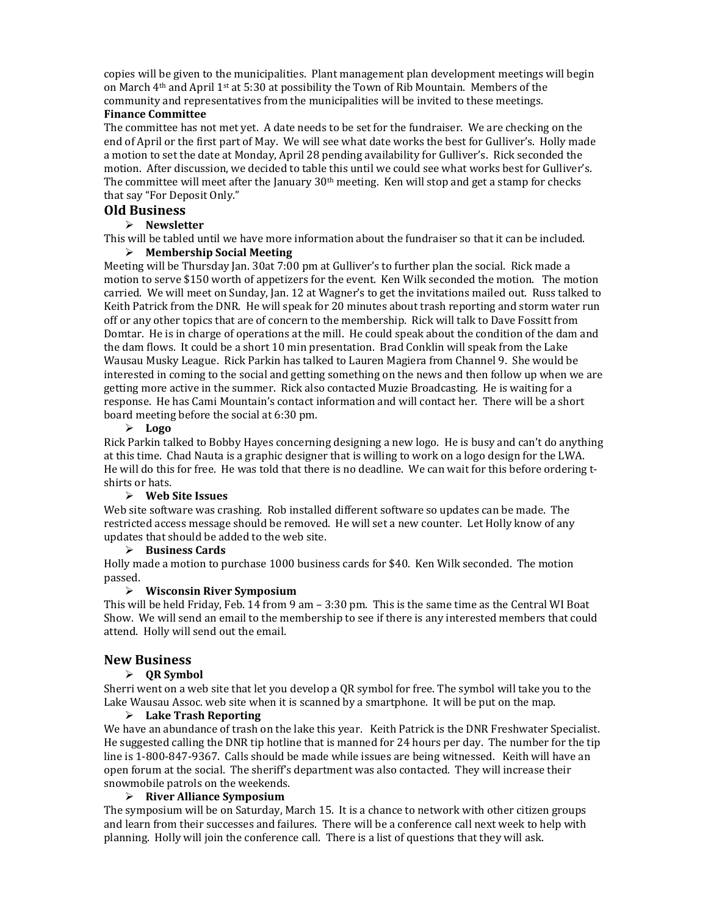copies will be given to the municipalities. Plant management plan development meetings will begin on March  $4<sup>th</sup>$  and April 1<sup>st</sup> at 5:30 at possibility the Town of Rib Mountain. Members of the community and representatives from the municipalities will be invited to these meetings. **Finance Committee**

The committee has not met yet. A date needs to be set for the fundraiser. We are checking on the end of April or the first part of May. We will see what date works the best for Gulliver's. Holly made a motion to set the date at Monday, April 28 pending availability for Gulliver's. Rick seconded the motion. After discussion, we decided to table this until we could see what works best for Gulliver's. The committee will meet after the January  $30<sup>th</sup>$  meeting. Ken will stop and get a stamp for checks that say "For Deposit Only."

## **Old Business**

### **Newsletter**

This will be tabled until we have more information about the fundraiser so that it can be included.

#### **Membership Social Meeting**

Meeting will be Thursday Jan. 30at 7:00 pm at Gulliver's to further plan the social. Rick made a motion to serve \$150 worth of appetizers for the event. Ken Wilk seconded the motion. The motion carried. We will meet on Sunday, Jan. 12 at Wagner's to get the invitations mailed out. Russ talked to Keith Patrick from the DNR. He will speak for 20 minutes about trash reporting and storm water run off or any other topics that are of concern to the membership. Rick will talk to Dave Fossitt from Domtar. He is in charge of operations at the mill. He could speak about the condition of the dam and the dam flows. It could be a short 10 min presentation. Brad Conklin will speak from the Lake Wausau Musky League. Rick Parkin has talked to Lauren Magiera from Channel 9. She would be interested in coming to the social and getting something on the news and then follow up when we are getting more active in the summer. Rick also contacted Muzie Broadcasting. He is waiting for a response. He has Cami Mountain's contact information and will contact her. There will be a short board meeting before the social at 6:30 pm.

#### **Logo**

Rick Parkin talked to Bobby Hayes concerning designing a new logo. He is busy and can't do anything at this time. Chad Nauta is a graphic designer that is willing to work on a logo design for the LWA. He will do this for free. He was told that there is no deadline. We can wait for this before ordering tshirts or hats.

# **Web Site Issues**

Web site software was crashing. Rob installed different software so updates can be made. The restricted access message should be removed. He will set a new counter. Let Holly know of any updates that should be added to the web site.

#### **Business Cards**

Holly made a motion to purchase 1000 business cards for \$40. Ken Wilk seconded. The motion passed. 

#### **Wisconsin River Symposium**

This will be held Friday, Feb. 14 from 9 am  $-3:30$  pm. This is the same time as the Central WI Boat Show. We will send an email to the membership to see if there is any interested members that could attend. Holly will send out the email.

#### **New Business**

#### **QR Symbol**

Sherri went on a web site that let you develop a QR symbol for free. The symbol will take you to the Lake Wausau Assoc. web site when it is scanned by a smartphone. It will be put on the map.

#### **Lake Trash Reporting**

We have an abundance of trash on the lake this year. Keith Patrick is the DNR Freshwater Specialist. He suggested calling the DNR tip hotline that is manned for 24 hours per day. The number for the tip line is 1-800-847-9367. Calls should be made while issues are being witnessed. Keith will have an open forum at the social. The sheriff's department was also contacted. They will increase their snowmobile patrols on the weekends.

#### **River Alliance Symposium**

The symposium will be on Saturday, March 15. It is a chance to network with other citizen groups and learn from their successes and failures. There will be a conference call next week to help with planning. Holly will join the conference call. There is a list of questions that they will ask.